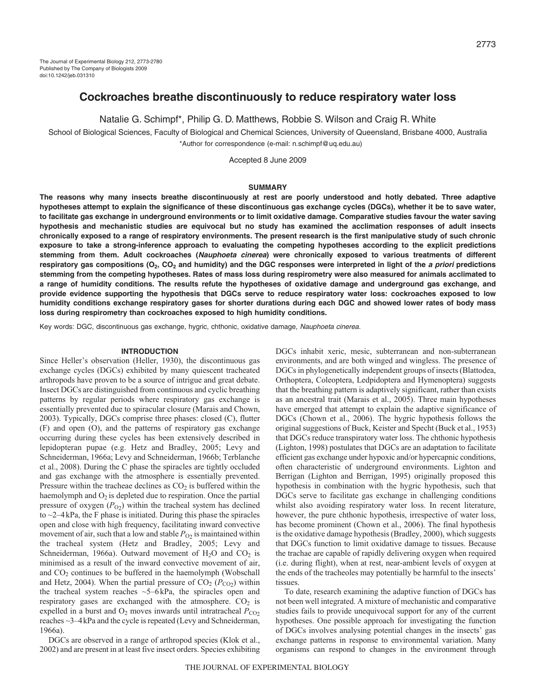# **Cockroaches breathe discontinuously to reduce respiratory water loss**

Natalie G. Schimpf\*, Philip G. D. Matthews, Robbie S. Wilson and Craig R. White

School of Biological Sciences, Faculty of Biological and Chemical Sciences, University of Queensland, Brisbane 4000, Australia \*Author for correspondence (e-mail: n.schimpf@uq.edu.au)

Accepted 8 June 2009

### **SUMMARY**

**The reasons why many insects breathe discontinuously at rest are poorly understood and hotly debated. Three adaptive hypotheses attempt to explain the significance of these discontinuous gas exchange cycles (DGCs), whether it be to save water, to facilitate gas exchange in underground environments or to limit oxidative damage. Comparative studies favour the water saving hypothesis and mechanistic studies are equivocal but no study has examined the acclimation responses of adult insects chronically exposed to a range of respiratory environments. The present research is the first manipulative study of such chronic exposure to take a strong-inference approach to evaluating the competing hypotheses according to the explicit predictions stemming from them. Adult cockroaches (Nauphoeta cinerea) were chronically exposed to various treatments of different respiratory gas compositions (O2, CO2 and humidity) and the DGC responses were interpreted in light of the a priori predictions stemming from the competing hypotheses. Rates of mass loss during respirometry were also measured for animals acclimated to a range of humidity conditions. The results refute the hypotheses of oxidative damage and underground gas exchange, and provide evidence supporting the hypothesis that DGCs serve to reduce respiratory water loss: cockroaches exposed to low humidity conditions exchange respiratory gases for shorter durations during each DGC and showed lower rates of body mass loss during respirometry than cockroaches exposed to high humidity conditions.**

Key words: DGC, discontinuous gas exchange, hygric, chthonic, oxidative damage, Nauphoeta cinerea.

### **INTRODUCTION**

Since Heller's observation (Heller, 1930), the discontinuous gas exchange cycles (DGCs) exhibited by many quiescent tracheated arthropods have proven to be a source of intrigue and great debate. Insect DGCs are distinguished from continuous and cyclic breathing patterns by regular periods where respiratory gas exchange is essentially prevented due to spiracular closure (Marais and Chown, 2003). Typically, DGCs comprise three phases: closed (C), flutter (F) and open (O), and the patterns of respiratory gas exchange occurring during these cycles has been extensively described in lepidopteran pupae (e.g. Hetz and Bradley, 2005; Levy and Schneiderman, 1966a; Levy and Schneiderman, 1966b; Terblanche et al., 2008). During the C phase the spiracles are tightly occluded and gas exchange with the atmosphere is essentially prevented. Pressure within the tracheae declines as  $CO<sub>2</sub>$  is buffered within the haemolymph and  $O_2$  is depleted due to respiration. Once the partial pressure of oxygen  $(P<sub>O2</sub>)$  within the tracheal system has declined to  $\sim$ 2–4kPa, the F phase is initiated. During this phase the spiracles open and close with high frequency, facilitating inward convective movement of air, such that a low and stable  $P_{O2}$  is maintained within the tracheal system (Hetz and Bradley, 2005; Levy and Schneiderman, 1966a). Outward movement of  $H_2O$  and  $CO_2$  is minimised as a result of the inward convective movement of air, and  $CO<sub>2</sub>$  continues to be buffered in the haemolymph (Wobschall and Hetz, 2004). When the partial pressure of  $CO<sub>2</sub> (P<sub>CO<sub>2</sub></sub>)$  within the tracheal system reaches  $\sim$ 5–6 kPa, the spiracles open and respiratory gases are exchanged with the atmosphere.  $CO<sub>2</sub>$  is expelled in a burst and  $O_2$  moves inwards until intratracheal  $P_{CO_2}$ reaches ~3–4kPa and the cycle is repeated (Levy and Schneiderman, 1966a).

DGCs are observed in a range of arthropod species (Klok et al., 2002) and are present in at least five insect orders. Species exhibiting DGCs inhabit xeric, mesic, subterranean and non-subterranean environments, and are both winged and wingless. The presence of DGCs in phylogenetically independent groups of insects (Blattodea, Orthoptera, Coleoptera, Ledpidoptera and Hymenoptera) suggests that the breathing pattern is adaptively significant, rather than exists as an ancestral trait (Marais et al., 2005). Three main hypotheses have emerged that attempt to explain the adaptive significance of DGCs (Chown et al., 2006). The hygric hypothesis follows the original suggestions of Buck, Keister and Specht (Buck et al., 1953) that DGCs reduce transpiratory water loss. The chthonic hypothesis (Lighton, 1998) postulates that DGCs are an adaptation to facilitate efficient gas exchange under hypoxic and/or hypercapnic conditions, often characteristic of underground environments. Lighton and Berrigan (Lighton and Berrigan, 1995) originally proposed this hypothesis in combination with the hygric hypothesis, such that DGCs serve to facilitate gas exchange in challenging conditions whilst also avoiding respiratory water loss. In recent literature, however, the pure chthonic hypothesis, irrespective of water loss, has become prominent (Chown et al., 2006). The final hypothesis is the oxidative damage hypothesis (Bradley, 2000), which suggests that DGCs function to limit oxidative damage to tissues. Because the trachae are capable of rapidly delivering oxygen when required (i.e. during flight), when at rest, near-ambient levels of oxygen at the ends of the tracheoles may potentially be harmful to the insects' tissues.

To date, research examining the adaptive function of DGCs has not been well integrated. A mixture of mechanistic and comparative studies fails to provide unequivocal support for any of the current hypotheses. One possible approach for investigating the function of DGCs involves analysing potential changes in the insects' gas exchange patterns in response to environmental variation. Many organisms can respond to changes in the environment through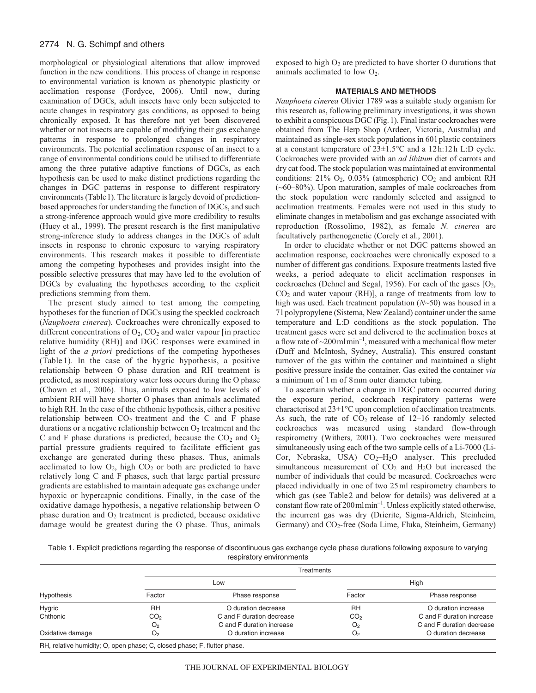## 2774 N. G. Schimpf and others

morphological or physiological alterations that allow improved function in the new conditions. This process of change in response to environmental variation is known as phenotypic plasticity or acclimation response (Fordyce, 2006). Until now, during examination of DGCs, adult insects have only been subjected to acute changes in respiratory gas conditions, as opposed to being chronically exposed. It has therefore not yet been discovered whether or not insects are capable of modifying their gas exchange patterns in response to prolonged changes in respiratory environments. The potential acclimation response of an insect to a range of environmental conditions could be utilised to differentiate among the three putative adaptive functions of DGCs, as each hypothesis can be used to make distinct predictions regarding the changes in DGC patterns in response to different respiratory environments (Table1). The literature is largely devoid of predictionbased approaches for understanding the function of DGCs, and such a strong-inference approach would give more credibility to results (Huey et al., 1999). The present research is the first manipulative strong-inference study to address changes in the DGCs of adult insects in response to chronic exposure to varying respiratory environments. This research makes it possible to differentiate among the competing hypotheses and provides insight into the possible selective pressures that may have led to the evolution of DGCs by evaluating the hypotheses according to the explicit predictions stemming from them.

The present study aimed to test among the competing hypotheses for the function of DGCs using the speckled cockroach (*Nauphoeta cinerea*)*.* Cockroaches were chronically exposed to different concentrations of  $O_2$ ,  $CO_2$  and water vapour [in practice relative humidity (RH)] and DGC responses were examined in light of the *a priori* predictions of the competing hypotheses (Table 1). In the case of the hygric hypothesis, a positive relationship between O phase duration and RH treatment is predicted, as most respiratory water loss occurs during the O phase (Chown et al., 2006). Thus, animals exposed to low levels of ambient RH will have shorter O phases than animals acclimated to high RH. In the case of the chthonic hypothesis, either a positive relationship between  $CO<sub>2</sub>$  treatment and the C and F phase durations or a negative relationship between  $O_2$  treatment and the C and F phase durations is predicted, because the  $CO<sub>2</sub>$  and  $O<sub>2</sub>$ partial pressure gradients required to facilitate efficient gas exchange are generated during these phases. Thus, animals acclimated to low  $O_2$ , high  $CO_2$  or both are predicted to have relatively long C and F phases, such that large partial pressure gradients are established to maintain adequate gas exchange under hypoxic or hypercapnic conditions. Finally, in the case of the oxidative damage hypothesis, a negative relationship between O phase duration and  $O_2$  treatment is predicted, because oxidative damage would be greatest during the O phase. Thus, animals

exposed to high  $O_2$  are predicted to have shorter O durations that animals acclimated to low  $O_2$ .

## **MATERIALS AND METHODS**

*Nauphoeta cinerea* Olivier 1789 was a suitable study organism for this research as, following preliminary investigations, it was shown to exhibit a conspicuous DGC (Fig.1). Final instar cockroaches were obtained from The Herp Shop (Ardeer, Victoria, Australia) and maintained as single-sex stock populations in 60l plastic containers at a constant temperature of 23±1.5°C and a 12h:12h L:D cycle. Cockroaches were provided with an *ad libitum* diet of carrots and dry cat food. The stock population was maintained at environmental conditions:  $21\%$  O<sub>2</sub>, 0.03% (atmospheric) CO<sub>2</sub> and ambient RH (~60–80%). Upon maturation, samples of male cockroaches from the stock population were randomly selected and assigned to acclimation treatments. Females were not used in this study to eliminate changes in metabolism and gas exchange associated with reproduction (Rossolimo, 1982), as female *N. cinerea* are facultatively parthenogenetic (Corely et al., 2001).

In order to elucidate whether or not DGC patterns showed an acclimation response, cockroaches were chronically exposed to a number of different gas conditions. Exposure treatments lasted five weeks, a period adequate to elicit acclimation responses in cockroaches (Dehnel and Segal, 1956). For each of the gases  $[O<sub>2</sub>,]$  $CO<sub>2</sub>$  and water vapour (RH)], a range of treatments from low to high was used. Each treatment population (*N*~50) was housed in a 7l polypropylene (Sistema, New Zealand) container under the same temperature and L:D conditions as the stock population. The treatment gases were set and delivered to the acclimation boxes at a flow rate of  $\sim$ 200 ml $\text{min}^{-1}$ , measured with a mechanical flow meter (Duff and McIntosh, Sydney, Australia). This ensured constant turnover of the gas within the container and maintained a slight positive pressure inside the container. Gas exited the container *via* a minimum of 1m of 8mm outer diameter tubing.

To ascertain whether a change in DGC pattern occurred during the exposure period, cockroach respiratory patterns were characterised at 23±1°C upon completion of acclimation treatments. As such, the rate of  $CO<sub>2</sub>$  release of 12–16 randomly selected cockroaches was measured using standard flow-through respirometry (Withers, 2001). Two cockroaches were measured simultaneously using each of the two sample cells of a Li-7000 (Li-Cor, Nebraska, USA)  $CO<sub>2</sub>-H<sub>2</sub>O$  analyser. This precluded simultaneous measurement of  $CO<sub>2</sub>$  and  $H<sub>2</sub>O$  but increased the number of individuals that could be measured. Cockroaches were placed individually in one of two 25ml respirometry chambers to which gas (see Table2 and below for details) was delivered at a constant flow rate of 200mlmin–1. Unless explicitly stated otherwise, the incurrent gas was dry (Drierite, Sigma-Aldrich, Steinheim, Germany) and CO<sub>2</sub>-free (Soda Lime, Fluka, Steinheim, Germany)

Table 1. Explicit predictions regarding the response of discontinuous gas exchange cycle phase durations following exposure to varying respiratory environments

|                  | Treatments                            |                           |                 |                           |  |
|------------------|---------------------------------------|---------------------------|-----------------|---------------------------|--|
|                  |                                       | Low                       | High            |                           |  |
| Hypothesis       | Factor                                | Phase response            | Factor          | Phase response            |  |
| Hygric           | RH                                    | O duration decrease       | RH              | O duration increase       |  |
| Chthonic         | CO <sub>2</sub>                       | C and F duration decrease | CO <sub>2</sub> | C and F duration increase |  |
|                  | O <sub>2</sub>                        | C and F duration increase | O <sub>2</sub>  | C and F duration decrease |  |
| Oxidative damage | O duration increase<br>O <sub>2</sub> |                           | O <sub>2</sub>  | O duration decrease       |  |
|                  | $\sim$ $\sim$ $\sim$ $\sim$           | _ _ _ _                   |                 |                           |  |

RH, relative humidity; O, open phase; C, closed phase; F, flutter phase.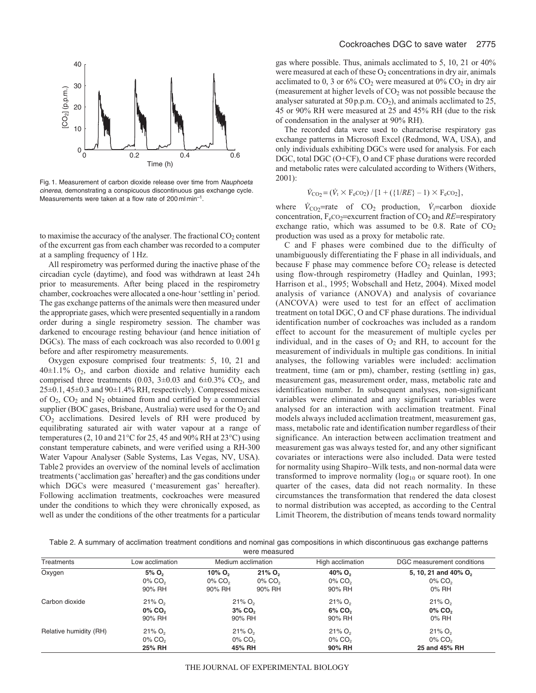

Fig. 1. Measurement of carbon dioxide release over time from Nauphoeta cinerea, demonstrating a conspicuous discontinuous gas exchange cycle. Measurements were taken at a flow rate of 200 ml min–1.

to maximise the accuracy of the analyser. The fractional  $CO<sub>2</sub>$  content of the excurrent gas from each chamber was recorded to a computer at a sampling frequency of 1Hz.

All respirometry was performed during the inactive phase of the circadian cycle (daytime), and food was withdrawn at least 24h prior to measurements. After being placed in the respirometry chamber, cockroaches were allocated a one-hour 'settling in' period. The gas exchange patterns of the animals were then measured under the appropriate gases, which were presented sequentially in a random order during a single respirometry session. The chamber was darkened to encourage resting behaviour (and hence initiation of DGCs). The mass of each cockroach was also recorded to 0.001g before and after respirometry measurements.

Oxygen exposure comprised four treatments: 5, 10, 21 and  $40\pm1.1\%$  O<sub>2</sub>, and carbon dioxide and relative humidity each comprised three treatments (0.03,  $3\pm0.03$  and  $6\pm0.3\%$  CO<sub>2</sub>, and  $25\pm0.1$ ,  $45\pm0.3$  and  $90\pm1.4\%$  RH, respectively). Compressed mixes of  $O_2$ ,  $CO_2$  and  $N_2$  obtained from and certified by a commercial supplier (BOC gases, Brisbane, Australia) were used for the O<sub>2</sub> and CO2 acclimations. Desired levels of RH were produced by equilibrating saturated air with water vapour at a range of temperatures (2, 10 and 21°C for 25, 45 and 90% RH at 23°C) using constant temperature cabinets, and were verified using a RH-300 Water Vapour Analyser (Sable Systems, Las Vegas, NV, USA). Table2 provides an overview of the nominal levels of acclimation treatments ('acclimation gas' hereafter) and the gas conditions under which DGCs were measured ('measurement gas' hereafter). Following acclimation treatments, cockroaches were measured under the conditions to which they were chronically exposed, as well as under the conditions of the other treatments for a particular

gas where possible. Thus, animals acclimated to 5, 10, 21 or 40% were measured at each of these  $O_2$  concentrations in dry air, animals acclimated to 0, 3 or  $6\%$  CO<sub>2</sub> were measured at  $0\%$  CO<sub>2</sub> in dry air (measurement at higher levels of  $CO<sub>2</sub>$  was not possible because the analyser saturated at  $50p.p.m. CO<sub>2</sub>$ ), and animals acclimated to  $25$ , 45 or 90% RH were measured at 25 and 45% RH (due to the risk of condensation in the analyser at 90% RH).

The recorded data were used to characterise respiratory gas exchange patterns in Microsoft Excel (Redmond, WA, USA), and only individuals exhibiting DGCs were used for analysis. For each DGC, total DGC (O+CF), O and CF phase durations were recorded and metabolic rates were calculated according to Withers (Withers, 2001):

$$
\dot{V}_{\rm CO_2} = (\dot{V}_1 \times F_e \rm CO_2) / [1 + (\{1/RE\} - 1) \times F_e \rm CO_2],
$$

where  $\dot{V}_{\text{CO}_2}$ =rate of CO<sub>2</sub> production,  $\dot{V}_1$ =carbon dioxide concentration,  $F_eCO_2$ =excurrent fraction of  $CO_2$  and *RE*=respiratory exchange ratio, which was assumed to be 0.8. Rate of  $CO<sub>2</sub>$ production was used as a proxy for metabolic rate.

C and F phases were combined due to the difficulty of unambiguously differentiating the F phase in all individuals, and because F phase may commence before  $CO<sub>2</sub>$  release is detected using flow-through respirometry (Hadley and Quinlan, 1993; Harrison et al., 1995; Wobschall and Hetz, 2004). Mixed model analysis of variance (ANOVA) and analysis of covariance (ANCOVA) were used to test for an effect of acclimation treatment on total DGC, O and CF phase durations. The individual identification number of cockroaches was included as a random effect to account for the measurement of multiple cycles per individual, and in the cases of  $O_2$  and RH, to account for the measurement of individuals in multiple gas conditions. In initial analyses, the following variables were included: acclimation treatment, time (am or pm), chamber, resting (settling in) gas, measurement gas, measurement order, mass, metabolic rate and identification number. In subsequent analyses, non-significant variables were eliminated and any significant variables were analysed for an interaction with acclimation treatment. Final models always included acclimation treatment, measurement gas, mass, metabolic rate and identification number regardless of their significance. An interaction between acclimation treatment and measurement gas was always tested for, and any other significant covariates or interactions were also included. Data were tested for normality using Shapiro–Wilk tests, and non-normal data were transformed to improve normality ( $log_{10}$  or square root). In one quarter of the cases, data did not reach normality. In these circumstances the transformation that rendered the data closest to normal distribution was accepted, as according to the Central Limit Theorem, the distribution of means tends toward normality

Table 2. A summary of acclimation treatment conditions and nominal gas compositions in which discontinuous gas exchange patterns were measured

| Treatments             | Low acclimation                                          |                                                          | Medium acclimation                                       | High acclimation                                         | DGC measurement conditions                                         |
|------------------------|----------------------------------------------------------|----------------------------------------------------------|----------------------------------------------------------|----------------------------------------------------------|--------------------------------------------------------------------|
| Oxygen                 | 5% O <sub>2</sub><br>$0\%$ CO <sub>2</sub><br>90% RH     | $10\%$ O <sub>2</sub><br>$0\%$ CO <sub>2</sub><br>90% RH | $21\%$ O <sub>2</sub><br>0% CO <sub>2</sub><br>90% RH    | 40% $O_{2}$<br>$0\%$ CO <sub>2</sub><br>90% RH           | 5, 10, 21 and 40% O <sub>2</sub><br>$0\%$ CO <sub>2</sub><br>0% RH |
| Carbon dioxide         | $21\%$ O <sub>2</sub><br>0% CO <sub>2</sub><br>90% RH    |                                                          | $21\%$ O <sub>2</sub><br>$3\%$ CO <sub>2</sub><br>90% RH | $21\%$ O <sub>2</sub><br>6% CO <sub>2</sub><br>90% RH    | $21\%$ O <sub>2</sub><br>0% CO <sub>2</sub><br>0% RH               |
| Relative humidity (RH) | $21\%$ O <sub>2</sub><br>$0\%$ CO <sub>2</sub><br>25% RH |                                                          | $21\%$ O <sub>2</sub><br>$0\%$ CO <sub>2</sub><br>45% RH | $21\%$ O <sub>2</sub><br>$0\%$ CO <sub>2</sub><br>90% RH | $21\%$ O <sub>2</sub><br>$0\%$ CO <sub>2</sub><br>25 and 45% RH    |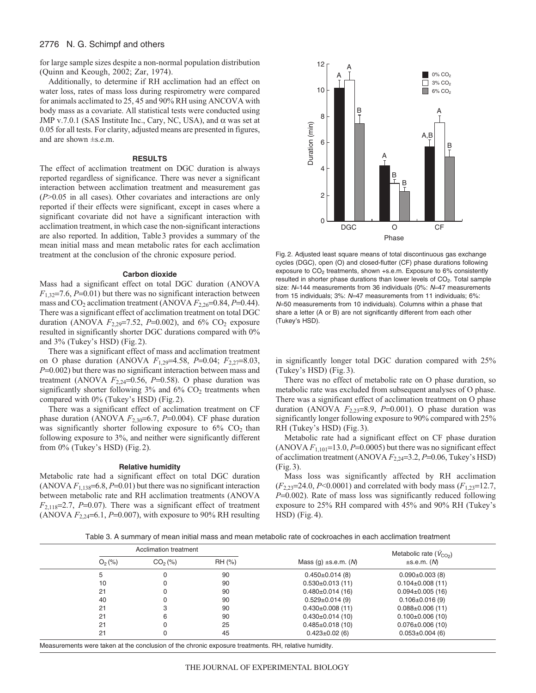### 2776 N. G. Schimpf and others

for large sample sizes despite a non-normal population distribution (Quinn and Keough, 2002; Zar, 1974).

Additionally, to determine if RH acclimation had an effect on water loss, rates of mass loss during respirometry were compared for animals acclimated to 25, 45 and 90% RH using ANCOVA with body mass as a covariate. All statistical tests were conducted using JMP v.7.0.1 (SAS Institute Inc., Cary, NC, USA), and  $\alpha$  was set at 0.05 for all tests. For clarity, adjusted means are presented in figures, and are shown ±s.e.m.

#### **RESULTS**

The effect of acclimation treatment on DGC duration is always reported regardless of significance. There was never a significant interaction between acclimation treatment and measurement gas (*P*>0.05 in all cases). Other covariates and interactions are only reported if their effects were significant, except in cases where a significant covariate did not have a significant interaction with acclimation treatment, in which case the non-significant interactions are also reported. In addition, Table3 provides a summary of the mean initial mass and mean metabolic rates for each acclimation treatment at the conclusion of the chronic exposure period.

#### **Carbon dioxide**

Mass had a significant effect on total DGC duration (ANOVA  $F_{1,32}$ =7.6,  $P$ =0.01) but there was no significant interaction between mass and  $CO_2$  acclimation treatment (ANOVA  $F_{2,26}=0.84$ ,  $P=0.44$ ). There was a significant effect of acclimation treatment on total DGC duration (ANOVA  $F_{2,29}$ =7.52,  $P=0.002$ ), and 6% CO<sub>2</sub> exposure resulted in significantly shorter DGC durations compared with 0% and 3% (Tukey's HSD) (Fig.2).

There was a significant effect of mass and acclimation treatment on O phase duration (ANOVA *F*1,29=4.58, *P*=0.04; *F*2,27=8.03, *P*=0.002) but there was no significant interaction between mass and treatment (ANOVA  $F_{2,24}=0.56$ ,  $P=0.58$ ). O phase duration was significantly shorter following  $3\%$  and  $6\%$  CO<sub>2</sub> treatments when compared with 0% (Tukey's HSD) (Fig.2).

There was a significant effect of acclimation treatment on CF phase duration (ANOVA  $F_{2,30}$ =6.7, *P*=0.004). CF phase duration was significantly shorter following exposure to  $6\%$  CO<sub>2</sub> than following exposure to 3%, and neither were significantly different from 0% (Tukey's HSD) (Fig.2).

#### **Relative humidity**

Metabolic rate had a significant effect on total DGC duration (ANOVA  $F_{1,138}$ =6.8,  $P$ =0.01) but there was no significant interaction between metabolic rate and RH acclimation treatments (ANOVA  $F_{2,118}=2.7$ ,  $P=0.07$ ). There was a significant effect of treatment (ANOVA  $F_{2,24}$ =6.1, *P*=0.007), with exposure to 90% RH resulting



Fig. 2. Adjusted least square means of total discontinuous gas exchange cycles (DGC), open (O) and closed-flutter (CF) phase durations following exposure to  $CO<sub>2</sub>$  treatments, shown +s.e.m. Exposure to 6% consistently resulted in shorter phase durations than lower levels of CO<sub>2</sub>. Total sample size: N=144 measurements from 36 individuals (0%: N=47 measurements from 15 individuals; 3%: N=47 measurements from 11 individuals; 6%: <sup>N</sup>=50 measurements from 10 individuals). Columns within a phase that share a letter (A or B) are not significantly different from each other (Tukey's HSD).

in significantly longer total DGC duration compared with 25% (Tukey's HSD) (Fig.3).

There was no effect of metabolic rate on O phase duration, so metabolic rate was excluded from subsequent analyses of O phase. There was a significant effect of acclimation treatment on O phase duration (ANOVA  $F_{2,23}=8.9$ ,  $P=0.001$ ). O phase duration was significantly longer following exposure to 90% compared with 25% RH (Tukey's HSD) (Fig.3).

Metabolic rate had a significant effect on CF phase duration (ANOVA  $F_{1,101}$ =13.0,  $P=0.0005$ ) but there was no significant effect of acclimation treatment (ANOVA *F*2,24=3.2, *P*=0.06, Tukey's HSD) (Fig.3).

Mass loss was significantly affected by RH acclimation (*F*2,23=24.0, *P*<0.0001) and correlated with body mass (*F*1,23=12.7, *P*=0.002). Rate of mass loss was significantly reduced following exposure to 25% RH compared with 45% and 90% RH (Tukey's HSD) (Fig.4).

Table 3. A summary of mean initial mass and mean metabolic rate of cockroaches in each acclimation treatment

| Acclimation treatment |                     | Metabolic rate $(V_{CO2})$ |                           |                        |  |
|-----------------------|---------------------|----------------------------|---------------------------|------------------------|--|
| $O_2$ (%)             | CO <sub>2</sub> (%) | RH (%)                     | Mass (g) $\pm$ s.e.m. (M) | $\pm$ s.e.m. $(M)$     |  |
| 5                     | 0                   | 90                         | $0.450 \pm 0.014$ (8)     | $0.090 \pm 0.003$ (8)  |  |
| 10                    | 0                   | 90                         | $0.530 \pm 0.013(11)$     | $0.104 \pm 0.008(11)$  |  |
| 21                    | 0                   | 90                         | $0.480 \pm 0.014(16)$     | $0.094 \pm 0.005$ (16) |  |
| 40                    | 0                   | 90                         | $0.529 \pm 0.014(9)$      | $0.106 \pm 0.016(9)$   |  |
| 21                    | 3                   | 90                         | $0.430\pm0.008(11)$       | $0.088 \pm 0.006$ (11) |  |
| 21                    | 6                   | 90                         | $0.430 \pm 0.014$ (10)    | $0.100 \pm 0.006$ (10) |  |
| 21                    | 0                   | 25                         | $0.485 \pm 0.018(10)$     | $0.076 \pm 0.006$ (10) |  |
| 21                    | 0                   | 45                         | $0.423 \pm 0.02$ (6)      | $0.053 \pm 0.004$ (6)  |  |

Measurements were taken at the conclusion of the chronic exposure treatments. RH, relative humidity.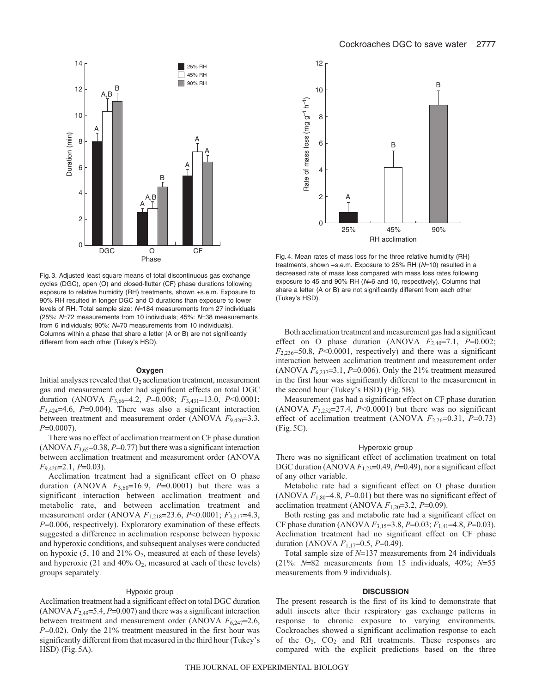



Fig. 3. Adjusted least square means of total discontinuous gas exchange cycles (DGC), open (O) and closed-flutter (CF) phase durations following exposure to relative humidity (RH) treatments, shown +s.e.m. Exposure to 90% RH resulted in longer DGC and O durations than exposure to lower levels of RH. Total sample size: N=184 measurements from 27 individuals (25%: N=72 measurements from 10 individuals; 45%: N=38 measurements from 6 individuals; 90%: N=70 measurements from 10 individuals). Columns within a phase that share a letter (A or B) are not significantly different from each other (Tukey's HSD).

#### **Oxygen**

Initial analyses revealed that  $O<sub>2</sub>$  acclimation treatment, measurement gas and measurement order had significant effects on total DGC duration (ANOVA *F*3,66=4.2, *P*=0.008; *F*3,431=13.0, *P*<0.0001;  $F_{3,424}=4.6$ ,  $P=0.004$ ). There was also a significant interaction between treatment and measurement order (ANOVA  $F_{9,420}$ =3.3, *P*=0.0007).

There was no effect of acclimation treatment on CF phase duration (ANOVA  $F_{3,65}$ =0.38, *P*=0.77) but there was a significant interaction between acclimation treatment and measurement order (ANOVA *F*9,420=2.1, *P*=0.03).

Acclimation treatment had a significant effect on O phase duration (ANOVA  $F_{3,60}$ =16.9, *P*=0.0001) but there was a significant interaction between acclimation treatment and metabolic rate, and between acclimation treatment and measurement order (ANOVA *F*1,218=23.6, *P*<0.0001; *F*3,217=4.3, *P*=0.006, respectively). Exploratory examination of these effects suggested a difference in acclimation response between hypoxic and hyperoxic conditions, and subsequent analyses were conducted on hypoxic  $(5, 10 \text{ and } 21\% \text{ O}_2)$ , measured at each of these levels) and hyperoxic (21 and 40%  $O_2$ , measured at each of these levels) groups separately.

#### Hypoxic group

Acclimation treatment had a significant effect on total DGC duration (ANOVA  $F_{2,49}$ =5.4,  $P$ =0.007) and there was a significant interaction between treatment and measurement order (ANOVA  $F_{6,247}=2.6$ , *P*=0.02). Only the 21% treatment measured in the first hour was significantly different from that measured in the third hour (Tukey's HSD) (Fig.5A).

Fig. 4. Mean rates of mass loss for the three relative humidity (RH) treatments, shown +s.e.m. Exposure to 25% RH  $(N=10)$  resulted in a decreased rate of mass loss compared with mass loss rates following exposure to 45 and 90% RH (N=6 and 10, respectively). Columns that share a letter (A or B) are not significantly different from each other (Tukey's HSD).

Both acclimation treatment and measurement gas had a significant effect on O phase duration (ANOVA  $F_{2,40}$ =7.1,  $P=0.002$ ; *F*2,236=50.8, *P*<0.0001, respectively) and there was a significant interaction between acclimation treatment and measurement order (ANOVA  $F_{6,237}=3.1, P=0.006$ ). Only the 21% treatment measured in the first hour was significantly different to the measurement in the second hour (Tukey's HSD) (Fig.5B).

Measurement gas had a significant effect on CF phase duration (ANOVA  $F_{2,252}=27.4$ ,  $P<0.0001$ ) but there was no significant effect of acclimation treatment (ANOVA  $F_{2,26}=0.31$ ,  $P=0.73$ ) (Fig.5C).

### Hyperoxic group

There was no significant effect of acclimation treatment on total DGC duration (ANOVA  $F_{1,23}=0.49$ ,  $P=0.49$ ), nor a significant effect of any other variable.

Metabolic rate had a significant effect on O phase duration (ANOVA  $F_{1,80}$ =4.8,  $P$ =0.01) but there was no significant effect of acclimation treatment (ANOVA  $F_{1,20}$ =3.2,  $P$ =0.09).

Both resting gas and metabolic rate had a significant effect on CF phase duration (ANOVA *F*3,15=3.8, *P*=0.03; *F*1,41=4.8, *P*=0.03). Acclimation treatment had no significant effect on CF phase duration (ANOVA *F*1,17=0.5, *P*=0.49).

Total sample size of *N*=137 measurements from 24 individuals (21%: *N*=82 measurements from 15 individuals, 40%; *N*=55 measurements from 9 individuals).

### **DISCUSSION**

The present research is the first of its kind to demonstrate that adult insects alter their respiratory gas exchange patterns in response to chronic exposure to varying environments. Cockroaches showed a significant acclimation response to each of the O2, CO2 and RH treatments. These responses are compared with the explicit predictions based on the three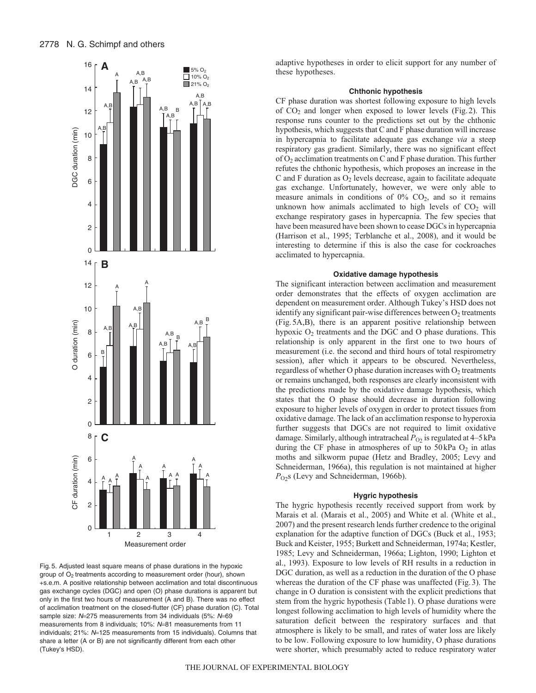

Fig. 5. Adjusted least square means of phase durations in the hypoxic group of  $O<sub>2</sub>$  treatments according to measurement order (hour), shown +s.e.m. A positive relationship between acclimation and total discontinuous gas exchange cycles (DGC) and open (O) phase durations is apparent but only in the first two hours of measurement (A and B). There was no effect of acclimation treatment on the closed-flutter (CF) phase duration (C). Total sample size: N=275 measurements from 34 individuals (5%: N=69 measurements from 8 individuals; 10%: N=81 measurements from 11 individuals; 21%: N=125 measurements from 15 individuals). Columns that share a letter (A or B) are not significantly different from each other (Tukey's HSD).

adaptive hypotheses in order to elicit support for any number of these hypotheses.

### **Chthonic hypothesis**

CF phase duration was shortest following exposure to high levels of  $CO<sub>2</sub>$  and longer when exposed to lower levels (Fig. 2). This response runs counter to the predictions set out by the chthonic hypothesis, which suggests that C and F phase duration will increase in hypercapnia to facilitate adequate gas exchange *via* a steep respiratory gas gradient. Similarly, there was no significant effect of  $O_2$  acclimation treatments on C and F phase duration. This further refutes the chthonic hypothesis, which proposes an increase in the C and F duration as  $O_2$  levels decrease, again to facilitate adequate gas exchange. Unfortunately, however, we were only able to measure animals in conditions of  $0\%$  CO<sub>2</sub>, and so it remains unknown how animals acclimated to high levels of  $CO<sub>2</sub>$  will exchange respiratory gases in hypercapnia. The few species that have been measured have been shown to cease DGCs in hypercapnia (Harrison et al., 1995; Terblanche et al., 2008), and it would be interesting to determine if this is also the case for cockroaches acclimated to hypercapnia.

### **Oxidative damage hypothesis**

The significant interaction between acclimation and measurement order demonstrates that the effects of oxygen acclimation are dependent on measurement order. Although Tukey's HSD does not identify any significant pair-wise differences between  $O_2$  treatments (Fig.5A,B), there is an apparent positive relationship between hypoxic  $O_2$  treatments and the DGC and O phase durations. This relationship is only apparent in the first one to two hours of measurement (i.e. the second and third hours of total respirometry session), after which it appears to be obscured. Nevertheless, regardless of whether O phase duration increases with  $O_2$  treatments or remains unchanged, both responses are clearly inconsistent with the predictions made by the oxidative damage hypothesis, which states that the O phase should decrease in duration following exposure to higher levels of oxygen in order to protect tissues from oxidative damage. The lack of an acclimation response to hyperoxia further suggests that DGCs are not required to limit oxidative damage. Similarly, although intratracheal  $P_{O_2}$  is regulated at 4–5 kPa during the CF phase in atmospheres of up to  $50 \text{ kPa}$  O<sub>2</sub> in atlas moths and silkworm pupae (Hetz and Bradley, 2005; Levy and Schneiderman, 1966a), this regulation is not maintained at higher *P*O2s (Levy and Schneiderman, 1966b).

#### **Hygric hypothesis**

The hygric hypothesis recently received support from work by Marais et al. (Marais et al., 2005) and White et al. (White et al., 2007) and the present research lends further credence to the original explanation for the adaptive function of DGCs (Buck et al., 1953; Buck and Keister, 1955; Burkett and Schneiderman, 1974a; Kestler, 1985; Levy and Schneiderman, 1966a; Lighton, 1990; Lighton et al., 1993). Exposure to low levels of RH results in a reduction in DGC duration, as well as a reduction in the duration of the O phase whereas the duration of the CF phase was unaffected (Fig.3). The change in O duration is consistent with the explicit predictions that stem from the hygric hypothesis (Table1). O phase durations were longest following acclimation to high levels of humidity where the saturation deficit between the respiratory surfaces and that atmosphere is likely to be small, and rates of water loss are likely to be low. Following exposure to low humidity, O phase durations were shorter, which presumably acted to reduce respiratory water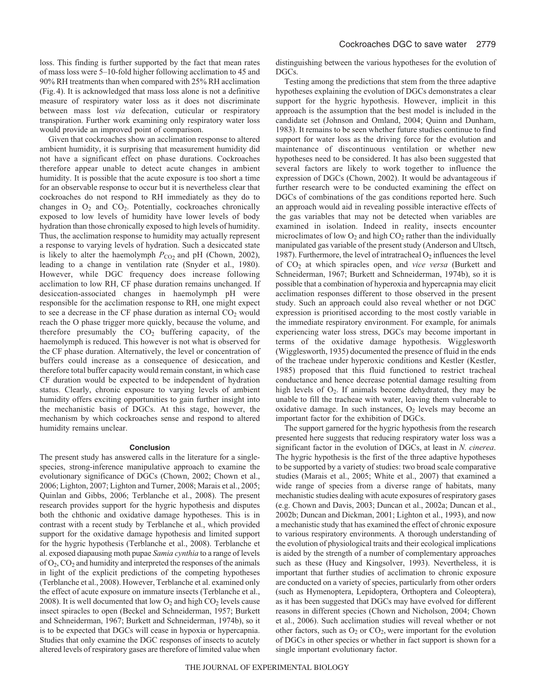loss. This finding is further supported by the fact that mean rates of mass loss were 5–10-fold higher following acclimation to 45 and 90% RH treatments than when compared with 25% RH acclimation (Fig.4). It is acknowledged that mass loss alone is not a definitive measure of respiratory water loss as it does not discriminate between mass lost *via* defecation, cuticular or respiratory transpiration. Further work examining only respiratory water loss would provide an improved point of comparison.

Given that cockroaches show an acclimation response to altered ambient humidity, it is surprising that measurement humidity did not have a significant effect on phase durations. Cockroaches therefore appear unable to detect acute changes in ambient humidity. It is possible that the acute exposure is too short a time for an observable response to occur but it is nevertheless clear that cockroaches do not respond to RH immediately as they do to changes in  $O_2$  and  $CO_2$ . Potentially, cockroaches chronically exposed to low levels of humidity have lower levels of body hydration than those chronically exposed to high levels of humidity. Thus, the acclimation response to humidity may actually represent a response to varying levels of hydration. Such a desiccated state is likely to alter the haemolymph  $P_{CO_2}$  and pH (Chown, 2002), leading to a change in ventilation rate (Snyder et al., 1980). However, while DGC frequency does increase following acclimation to low RH, CF phase duration remains unchanged. If desiccation-associated changes in haemolymph pH were responsible for the acclimation response to RH, one might expect to see a decrease in the CF phase duration as internal  $CO<sub>2</sub>$  would reach the O phase trigger more quickly, because the volume, and therefore presumably the  $CO<sub>2</sub>$  buffering capacity, of the haemolymph is reduced. This however is not what is observed for the CF phase duration. Alternatively, the level or concentration of buffers could increase as a consequence of desiccation, and therefore total buffer capacity would remain constant, in which case CF duration would be expected to be independent of hydration status. Clearly, chronic exposure to varying levels of ambient humidity offers exciting opportunities to gain further insight into the mechanistic basis of DGCs. At this stage, however, the mechanism by which cockroaches sense and respond to altered humidity remains unclear.

#### **Conclusion**

The present study has answered calls in the literature for a singlespecies, strong-inference manipulative approach to examine the evolutionary significance of DGCs (Chown, 2002; Chown et al., 2006; Lighton, 2007; Lighton and Turner, 2008; Marais et al., 2005; Quinlan and Gibbs, 2006; Terblanche et al., 2008). The present research provides support for the hygric hypothesis and disputes both the chthonic and oxidative damage hypotheses. This is in contrast with a recent study by Terblanche et al., which provided support for the oxidative damage hypothesis and limited support for the hygric hypothesis (Terblanche et al., 2008). Terblanche et al. exposed diapausing moth pupae *Samia cynthia* to a range of levels of  $O_2$ ,  $CO_2$  and humidity and interpreted the responses of the animals in light of the explicit predictions of the competing hypotheses (Terblanche et al., 2008). However, Terblanche et al. examined only the effect of acute exposure on immature insects (Terblanche et al., 2008). It is well documented that low  $O_2$  and high  $CO_2$  levels cause insect spiracles to open (Beckel and Schneiderman, 1957; Burkett and Schneiderman, 1967; Burkett and Schneiderman, 1974b), so it is to be expected that DGCs will cease in hypoxia or hypercapnia. Studies that only examine the DGC responses of insects to acutely altered levels of respiratory gases are therefore of limited value when distinguishing between the various hypotheses for the evolution of DGCs.

Testing among the predictions that stem from the three adaptive hypotheses explaining the evolution of DGCs demonstrates a clear support for the hygric hypothesis. However, implicit in this approach is the assumption that the best model is included in the candidate set (Johnson and Omland, 2004; Quinn and Dunham, 1983). It remains to be seen whether future studies continue to find support for water loss as the driving force for the evolution and maintenance of discontinuous ventilation or whether new hypotheses need to be considered. It has also been suggested that several factors are likely to work together to influence the expression of DGCs (Chown, 2002). It would be advantageous if further research were to be conducted examining the effect on DGCs of combinations of the gas conditions reported here. Such an approach would aid in revealing possible interactive effects of the gas variables that may not be detected when variables are examined in isolation. Indeed in reality, insects encounter microclimates of low  $O_2$  and high  $CO_2$  rather than the individually manipulated gas variable of the present study (Anderson and Ultsch, 1987). Furthermore, the level of intratracheal  $O_2$  influences the level of CO2 at which spiracles open, and *vice versa* (Burkett and Schneiderman, 1967; Burkett and Schneiderman, 1974b), so it is possible that a combination of hyperoxia and hypercapnia may elicit acclimation responses different to those observed in the present study. Such an approach could also reveal whether or not DGC expression is prioritised according to the most costly variable in the immediate respiratory environment. For example, for animals experiencing water loss stress, DGCs may become important in terms of the oxidative damage hypothesis. Wigglesworth (Wigglesworth, 1935) documented the presence of fluid in the ends of the tracheae under hyperoxic conditions and Kestler (Kestler, 1985) proposed that this fluid functioned to restrict tracheal conductance and hence decrease potential damage resulting from high levels of  $O_2$ . If animals become dehydrated, they may be unable to fill the tracheae with water, leaving them vulnerable to oxidative damage. In such instances,  $O<sub>2</sub>$  levels may become an important factor for the exhibition of DGCs.

The support garnered for the hygric hypothesis from the research presented here suggests that reducing respiratory water loss was a significant factor in the evolution of DGCs, at least in *N. cinerea*. The hygric hypothesis is the first of the three adaptive hypotheses to be supported by a variety of studies: two broad scale comparative studies (Marais et al., 2005; White et al., 2007) that examined a wide range of species from a diverse range of habitats, many mechanistic studies dealing with acute exposures of respiratory gases (e.g. Chown and Davis, 2003; Duncan et al., 2002a; Duncan et al., 2002b; Duncan and Dickman, 2001; Lighton et al., 1993), and now a mechanistic study that has examined the effect of chronic exposure to various respiratory environments. A thorough understanding of the evolution of physiological traits and their ecological implications is aided by the strength of a number of complementary approaches such as these (Huey and Kingsolver, 1993). Nevertheless, it is important that further studies of acclimation to chronic exposure are conducted on a variety of species, particularly from other orders (such as Hymenoptera, Lepidoptera, Orthoptera and Coleoptera), as it has been suggested that DGCs may have evolved for different reasons in different species (Chown and Nicholson, 2004; Chown et al., 2006). Such acclimation studies will reveal whether or not other factors, such as  $O_2$  or  $CO_2$ , were important for the evolution of DGCs in other species or whether in fact support is shown for a single important evolutionary factor.